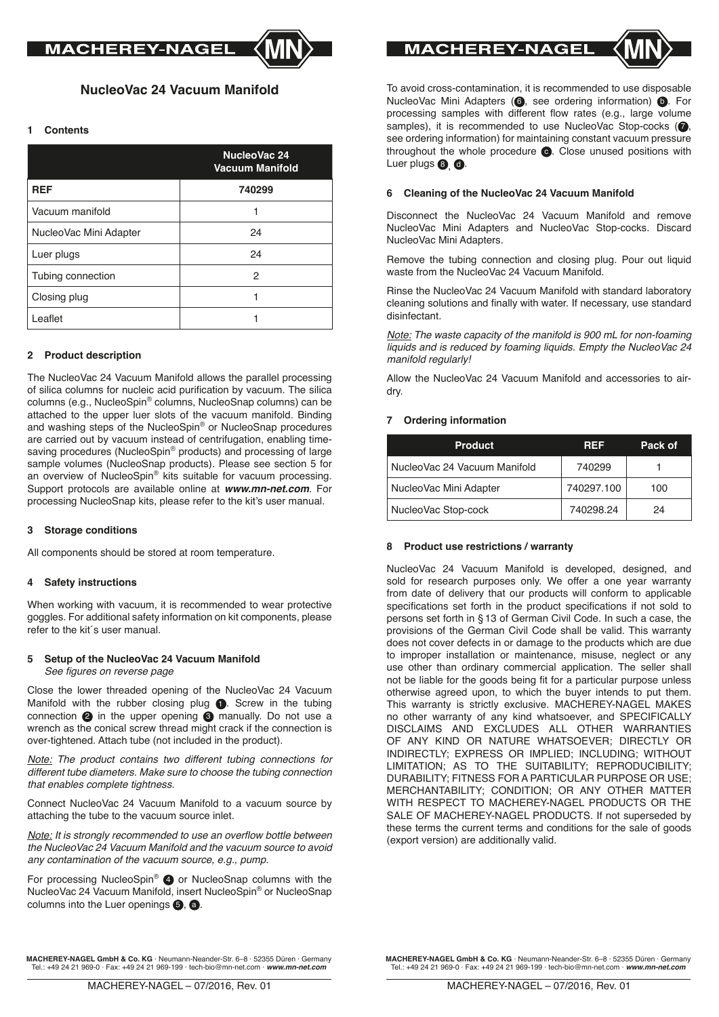# **NucleoVac 24 Vacuum Manifold**

### **1 Contents**

|                        | NucleoVac 24<br><b>Vacuum Manifold</b> |
|------------------------|----------------------------------------|
| <b>REF</b>             | 740299                                 |
| Vacuum manifold        |                                        |
| NucleoVac Mini Adapter | 24                                     |
| Luer plugs             | 24                                     |
| Tubing connection      | 2                                      |
| Closing plug           |                                        |
| Leaflet                |                                        |

# **2 Product description**

The NucleoVac 24 Vacuum Manifold allows the parallel processing of silica columns for nucleic acid purification by vacuum. The silica columns (e.g., NucleoSpin® columns, NucleoSnap columns) can be attached to the upper luer slots of the vacuum manifold. Binding and washing steps of the NucleoSpin® or NucleoSnap procedures are carried out by vacuum instead of centrifugation, enabling timesaving procedures (NucleoSpin® products) and processing of large sample volumes (NucleoSnap products). Please see section 5 for an overview of NucleoSpin® kits suitable for vacuum processing. Support protocols are available online at *www.mn-net.com*. For processing NucleoSnap kits, please refer to the kit's user manual.

#### **3 Storage conditions**

All components should be stored at room temperature.

#### **4 Safety instructions**

When working with vacuum, it is recommended to wear protective goggles. For additional safety information on kit components, please refer to the kit´s user manual.

#### **5 Setup of the NucleoVac 24 Vacuum Manifold** See figures on reverse page

Close the lower threaded opening of the NucleoVac 24 Vacuum Manifold with the rubber closing plug  $\bigcirc$ . Screw in the tubing connection  $\odot$  in the upper opening  $\odot$  manually. Do not use a wrench as the conical screw thread might crack if the connection is over-tightened. Attach tube (not included in the product).

*Note: The product contains two different tubing connections for different tube diameters. Make sure to choose the tubing connection that enables complete tightness.* 

Connect NucleoVac 24 Vacuum Manifold to a vacuum source by attaching the tube to the vacuum source inlet.

*Note:* It is strongly recommended to use an overflow bottle between the NucleoVac 24 Vacuum Manifold and the vacuum source to avoid any contamination of the vacuum source, e.g., pump.

For processing NucleoSpin® 4 or NucleoSnap columns with the NucleoVac 24 Vacuum Manifold, insert NucleoSpin® or NucleoSnap columns into the Luer openings  $\mathbf{\Theta}$ ,  $\mathbf{\Theta}$ .

**MACHEREY-NAGEL** 



To avoid cross-contamination, it is recommended to use disposable NucleoVac Mini Adapters (**6**, see ordering information) **6**. For processing samples with different flow rates (e.g., large volume samples), it is recommended to use NucleoVac Stop-cocks  $( \bullet,$ see ordering information) for maintaining constant vacuum pressure throughout the whole procedure  $\bigcirc$ . Close unused positions with Luer plugs  $\mathbf{0}$   $\mathbf{0}$ .

#### **6 Cleaning of the NucleoVac 24 Vacuum Manifold**

Disconnect the NucleoVac 24 Vacuum Manifold and remove NucleoVac Mini Adapters and NucleoVac Stop-cocks. Discard NucleoVac Mini Adapters.

Remove the tubing connection and closing plug. Pour out liquid waste from the NucleoVac 24 Vacuum Manifold.

Rinse the NucleoVac 24 Vacuum Manifold with standard laboratory cleaning solutions and finally with water. If necessary, use standard disinfectant.

*Note: The waste capacity of the manifold is 900 mL for non-foaming liquids and is reduced by foaming liquids. Empty the NucleoVac 24 manifold regularly!*

Allow the NucleoVac 24 Vacuum Manifold and accessories to airdry.

# **7 Ordering information**

| <b>Product</b>                | <b>REF</b> | Pack of |
|-------------------------------|------------|---------|
| Nucleo Vac 24 Vacuum Manifold | 740299     |         |
| NucleoVac Mini Adapter        | 740297.100 | 100     |
| NucleoVac Stop-cock           | 740298.24  | 24      |

#### **8 Product use restrictions / warranty**

NucleoVac 24 Vacuum Manifold is developed, designed, and sold for research purposes only. We offer a one year warranty from date of delivery that our products will conform to applicable specifications set forth in the product specifications if not sold to persons set forth in § 13 of German Civil Code. In such a case, the provisions of the German Civil Code shall be valid. This warranty does not cover defects in or damage to the products which are due to improper installation or maintenance, misuse, neglect or any use other than ordinary commercial application. The seller shall not be liable for the goods being fit for a particular purpose unless otherwise agreed upon, to which the buyer intends to put them. This warranty is strictly exclusive. MACHEREY-NAGEL MAKES no other warranty of any kind whatsoever, and SPECIFICALLY DISCLAIMS AND EXCLUDES ALL OTHER WARRANTIES OF ANY KIND OR NATURE WHATSOEVER; DIRECTLY OR INDIRECTLY; EXPRESS OR IMPLIED; INCLUDING; WITHOUT LIMITATION; AS TO THE SUITABILITY; REPRODUCIBILITY; DURABILITY; FITNESS FOR A PARTICULAR PURPOSE OR USE; MERCHANTABILITY; CONDITION; OR ANY OTHER MATTER WITH RESPECT TO MACHEREY-NAGEL PRODUCTS OR THE SALE OF MACHEREY-NAGEL PRODUCTS. If not superseded by these terms the current terms and conditions for the sale of goods (export version) are additionally valid.

**MACHEREY-NAGEL GmbH & Co. KG** · Neumann-Neander-Str. 6–8 · 52355 Düren · Germany Tel.: +49 24 21 969-0 · Fax: +49 24 21 969-199 · tech-bio@mn-net.com · *www.mn-net.com*

**MACHEREY-NAGEL GmbH & Co. KG** · Neumann-Neander-Str. 6–8 · 52355 Düren · Germany Tel.: +49 24 21 969-0 · Fax: +49 24 21 969-199 · tech-bio@mn-net.com · *www.mn-net.com*